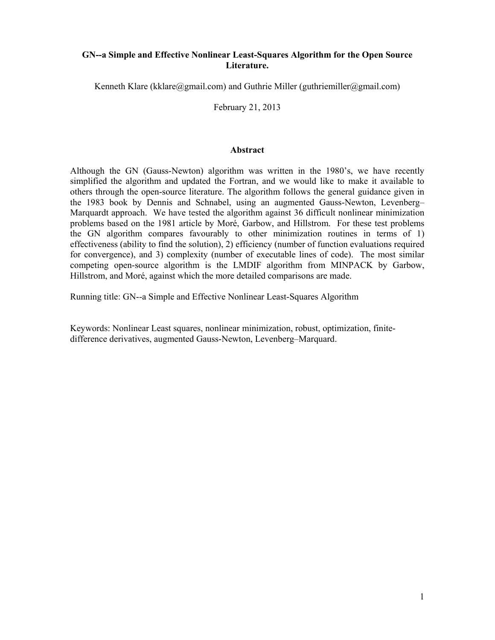## **GN--a Simple and Effective Nonlinear Least-Squares Algorithm for the Open Source Literature.**

Kenneth Klare (kklare@gmail.com) and Guthrie Miller (guthriemiller@gmail.com)

February 21, 2013

#### **Abstract**

Although the GN (Gauss-Newton) algorithm was written in the 1980's, we have recently simplified the algorithm and updated the Fortran, and we would like to make it available to others through the open-source literature. The algorithm follows the general guidance given in the 1983 book by Dennis and Schnabel, using an augmented Gauss-Newton, Levenberg– Marquardt approach. We have tested the algorithm against 36 difficult nonlinear minimization problems based on the 1981 article by Moré, Garbow, and Hillstrom. For these test problems the GN algorithm compares favourably to other minimization routines in terms of 1) effectiveness (ability to find the solution), 2) efficiency (number of function evaluations required for convergence), and 3) complexity (number of executable lines of code). The most similar competing open-source algorithm is the LMDIF algorithm from MINPACK by Garbow, Hillstrom, and Moré, against which the more detailed comparisons are made.

Running title: GN--a Simple and Effective Nonlinear Least-Squares Algorithm

Keywords: Nonlinear Least squares, nonlinear minimization, robust, optimization, finitedifference derivatives, augmented Gauss-Newton, Levenberg–Marquard.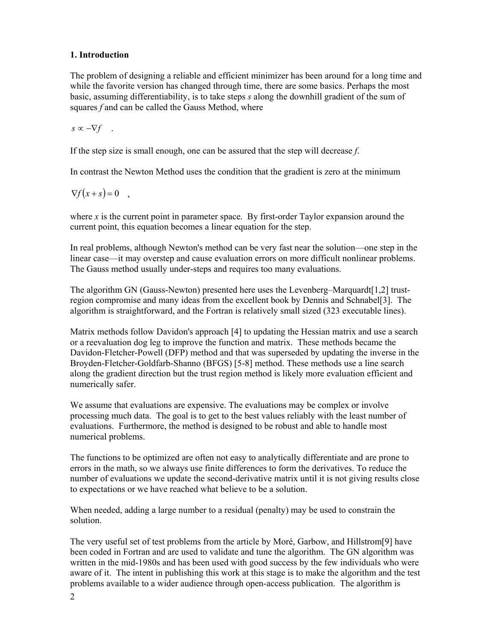## **1. Introduction**

The problem of designing a reliable and efficient minimizer has been around for a long time and while the favorite version has changed through time, there are some basics. Perhaps the most basic, assuming differentiability, is to take steps *s* along the downhill gradient of the sum of squares *f* and can be called the Gauss Method, where

 $s \propto -\nabla f$  .

If the step size is small enough, one can be assured that the step will decrease *f*.

In contrast the Newton Method uses the condition that the gradient is zero at the minimum

 $\nabla f(x+s) = 0$ ,

where  $x$  is the current point in parameter space. By first-order Taylor expansion around the current point, this equation becomes a linear equation for the step.

In real problems, although Newton's method can be very fast near the solution—one step in the linear case—it may overstep and cause evaluation errors on more difficult nonlinear problems. The Gauss method usually under-steps and requires too many evaluations.

The algorithm GN (Gauss-Newton) presented here uses the Levenberg–Marquardt[1,2] trustregion compromise and many ideas from the excellent book by Dennis and Schnabel[3]. The algorithm is straightforward, and the Fortran is relatively small sized (323 executable lines).

Matrix methods follow Davidon's approach [4] to updating the Hessian matrix and use a search or a reevaluation dog leg to improve the function and matrix. These methods became the Davidon-Fletcher-Powell (DFP) method and that was superseded by updating the inverse in the Broyden-Fletcher-Goldfarb-Shanno (BFGS) [5-8] method. These methods use a line search along the gradient direction but the trust region method is likely more evaluation efficient and numerically safer.

We assume that evaluations are expensive. The evaluations may be complex or involve processing much data. The goal is to get to the best values reliably with the least number of evaluations. Furthermore, the method is designed to be robust and able to handle most numerical problems.

The functions to be optimized are often not easy to analytically differentiate and are prone to errors in the math, so we always use finite differences to form the derivatives. To reduce the number of evaluations we update the second-derivative matrix until it is not giving results close to expectations or we have reached what believe to be a solution.

When needed, adding a large number to a residual (penalty) may be used to constrain the solution.

The very useful set of test problems from the article by Moré, Garbow, and Hillstrom[9] have been coded in Fortran and are used to validate and tune the algorithm. The GN algorithm was written in the mid-1980s and has been used with good success by the few individuals who were aware of it. The intent in publishing this work at this stage is to make the algorithm and the test problems available to a wider audience through open-access publication. The algorithm is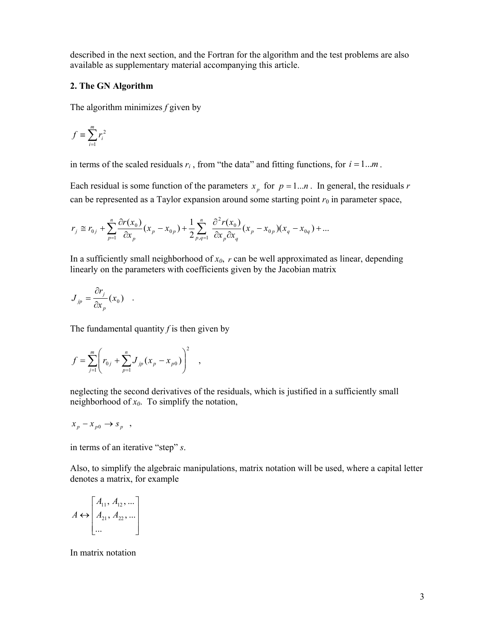described in the next section, and the Fortran for the algorithm and the test problems are also available as supplementary material accompanying this article.

### **2. The GN Algorithm**

The algorithm minimizes *f* given by

$$
f \equiv \sum_{i=1}^{m} r_i^2
$$

in terms of the scaled residuals  $r_i$ , from "the data" and fitting functions, for  $i = 1...m$ .

Each residual is some function of the parameters  $x<sub>n</sub>$  for  $p = 1...n$ . In general, the residuals *r* can be represented as a Taylor expansion around some starting point  $r_0$  in parameter space,

$$
r_{j} \cong r_{0j} + \sum_{p=1}^{n} \frac{\partial r(x_{0})}{\partial x_{p}} (x_{p} - x_{0p}) + \frac{1}{2} \sum_{p,q=1}^{n} \frac{\partial^{2} r(x_{0})}{\partial x_{p} \partial x_{q}} (x_{p} - x_{0p}) (x_{q} - x_{0q}) + ...
$$

In a sufficiently small neighborhood of  $x_0$ ,  $r$  can be well approximated as linear, depending linearly on the parameters with coefficients given by the Jacobian matrix

$$
J_{jp} = \frac{\partial r_j}{\partial x_p}(x_0) .
$$

The fundamental quantity  $f$  is then given by

$$
f = \sum_{j=1}^{m} \left( r_{0j} + \sum_{p=1}^{n} J_{jp} (x_p - x_{p0}) \right)^2 ,
$$

neglecting the second derivatives of the residuals, which is justified in a sufficiently small neighborhood of *x0*. To simplify the notation,

$$
x_p - x_{p0} \rightarrow s_p ,
$$

in terms of an iterative "step" *s*.

Also, to simplify the algebraic manipulations, matrix notation will be used, where a capital letter denotes a matrix, for example

$$
A \leftrightarrow \begin{bmatrix} A_{11}, A_{12}, \dots \\ A_{21}, A_{22}, \dots \\ \dots \end{bmatrix}
$$

In matrix notation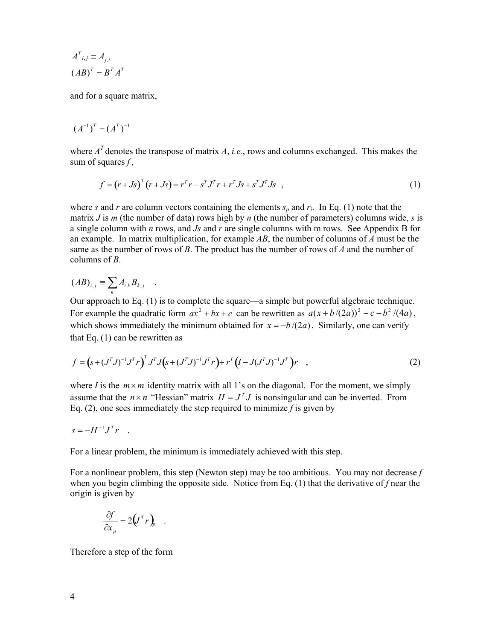$$
A^{T}{}_{i,j} \equiv A_{j,i}
$$

$$
(AB)^{T} = B^{T} A^{T}
$$

and for a square matrix,

$$
(A^{-1})^T = (A^T)^{-1}
$$

where  $A<sup>T</sup>$  denotes the transpose of matrix *A*, *i.e.*, rows and columns exchanged. This makes the sum of squares *f ,*

$$
f = (r + Js)^{T} (r + Js) = r^{T} r + s^{T} J^{T} r + r^{T} Js + s^{T} J^{T} Js , \qquad (1)
$$

where *s* and *r* are column vectors containing the elements  $s_p$  and  $r_i$ . In Eq. (1) note that the matrix *J* is *m* (the number of data) rows high by *n* (the number of parameters) columns wide, *s* is a single column with *n* rows, and *Js* and *r* are single columns with m rows. See Appendix B for an example. In matrix multiplication, for example *AB*, the number of columns of *A* must be the same as the number of rows of *B*. The product has the number of rows of *A* and the number of columns of *B*.

$$
(AB)_{i,j} \equiv \sum_k A_{i,k} B_{k,j} .
$$

Our approach to Eq. (1) is to complete the square—a simple but powerful algebraic technique. For example the quadratic form  $ax^2 + bx + c$  can be rewritten as  $a(x + b/(2a))^2 + c - b^2/(4a)$ , which shows immediately the minimum obtained for  $x = -b/(2a)$ . Similarly, one can verify that Eq. (1) can be rewritten as

$$
f = (s + (JT J)^{-1} JT r)T J (s + (JT J)^{-1} JT r) + rT (I - J(JT J)^{-1} JT) r , \qquad (2)
$$

where *I* is the  $m \times m$  identity matrix with all 1's on the diagonal. For the moment, we simply assume that the  $n \times n$  "Hessian" matrix  $H = J<sup>T</sup> J$  is nonsingular and can be inverted. From Eq. (2), one sees immediately the step required to minimize  $f$  is given by

$$
s = -H^{-1}J^T r
$$

For a linear problem, the minimum is immediately achieved with this step.

For a nonlinear problem, this step (Newton step) may be too ambitious. You may not decrease *f* when you begin climbing the opposite side. Notice from Eq. (1) that the derivative of *f* near the origin is given by

$$
\frac{\partial f}{\partial x_p} = 2\left(J^T r\right)_p .
$$

Therefore a step of the form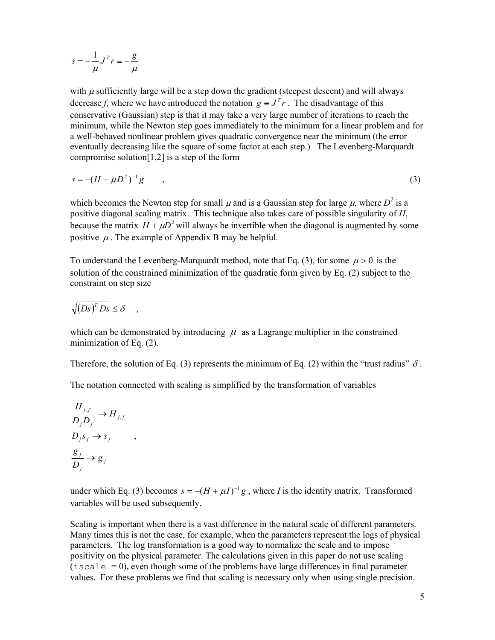$$
s = -\frac{1}{\mu}J^T r \equiv -\frac{g}{\mu}
$$

with  $\mu$  sufficiently large will be a step down the gradient (steepest descent) and will always decrease *f*, where we have introduced the notation  $g = J<sup>T</sup> r$ . The disadvantage of this conservative (Gaussian) step is that it may take a very large number of iterations to reach the minimum, while the Newton step goes immediately to the minimum for a linear problem and for a well-behaved nonlinear problem gives quadratic convergence near the minimum (the error eventually decreasing like the square of some factor at each step.) The Levenberg-Marquardt compromise solution [1,2] is a step of the form

$$
s = -(H + \mu D^2)^{-1} g \tag{3}
$$

which becomes the Newton step for small  $\mu$  and is a Gaussian step for large  $\mu$ , where  $D^2$  is a positive diagonal scaling matrix. This technique also takes care of possible singularity of *H*, because the matrix  $H + \mu D^2$  will always be invertible when the diagonal is augmented by some positive  $\mu$ . The example of Appendix B may be helpful.

To understand the Levenberg-Marquardt method, note that Eq. (3), for some  $\mu > 0$  is the solution of the constrained minimization of the quadratic form given by Eq. (2) subject to the constraint on step size

$$
\sqrt{\left(Ds\right)^{T} Ds} \leq \delta \quad ,
$$

which can be demonstrated by introducing  $\mu$  as a Lagrange multiplier in the constrained minimization of Eq. (2).

Therefore, the solution of Eq. (3) represents the minimum of Eq. (2) within the "trust radius"  $\delta$ .

The notation connected with scaling is simplified by the transformation of variables

$$
\frac{H_{j,j'}}{D_j D_{j'}} \to H_{j,j'}
$$
  

$$
D_j s_j \to s_j
$$
  

$$
\frac{g_j}{D_j} \to g_j
$$

,

under which Eq. (3) becomes  $s = -(H + \mu I)^{-1}g$ , where *I* is the identity matrix. Transformed variables will be used subsequently.

Scaling is important when there is a vast difference in the natural scale of different parameters. Many times this is not the case, for example, when the parameters represent the logs of physical parameters. The log transformation is a good way to normalize the scale and to impose positivity on the physical parameter. The calculations given in this paper do not use scaling  $(i \text{scale} = 0)$ , even though some of the problems have large differences in final parameter values. For these problems we find that scaling is necessary only when using single precision.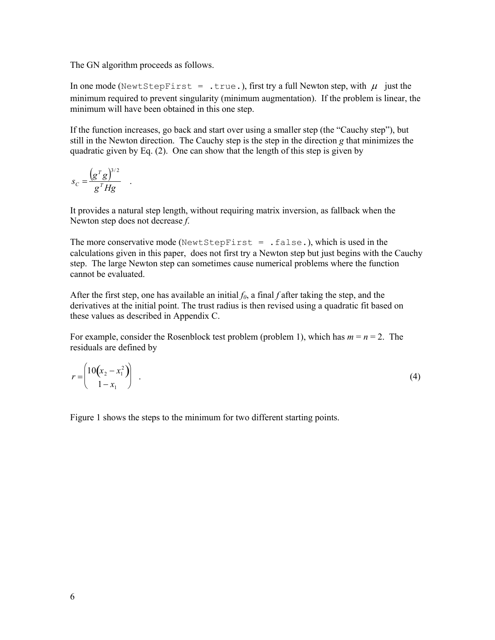The GN algorithm proceeds as follows.

In one mode (NewtStepFirst = .true.), first try a full Newton step, with  $\mu$  just the minimum required to prevent singularity (minimum augmentation). If the problem is linear, the minimum will have been obtained in this one step.

If the function increases, go back and start over using a smaller step (the "Cauchy step"), but still in the Newton direction. The Cauchy step is the step in the direction *g* that minimizes the quadratic given by Eq. (2). One can show that the length of this step is given by

$$
s_C = \frac{\left(g^T g\right)^{3/2}}{g^T H g} \quad .
$$

It provides a natural step length, without requiring matrix inversion, as fallback when the Newton step does not decrease *f*.

The more conservative mode (NewtStepFirst = .false.), which is used in the calculations given in this paper, does not first try a Newton step but just begins with the Cauchy step. The large Newton step can sometimes cause numerical problems where the function cannot be evaluated.

After the first step, one has available an initial  $f_0$ , a final  $f$  after taking the step, and the derivatives at the initial point. The trust radius is then revised using a quadratic fit based on these values as described in Appendix C.

For example, consider the Rosenblock test problem (problem 1), which has  $m = n = 2$ . The residuals are defined by

$$
r = \begin{pmatrix} 10(x_2 - x_1^2) & & & \\ 1 - x_1 & & & \end{pmatrix} \tag{4}
$$

Figure 1 shows the steps to the minimum for two different starting points.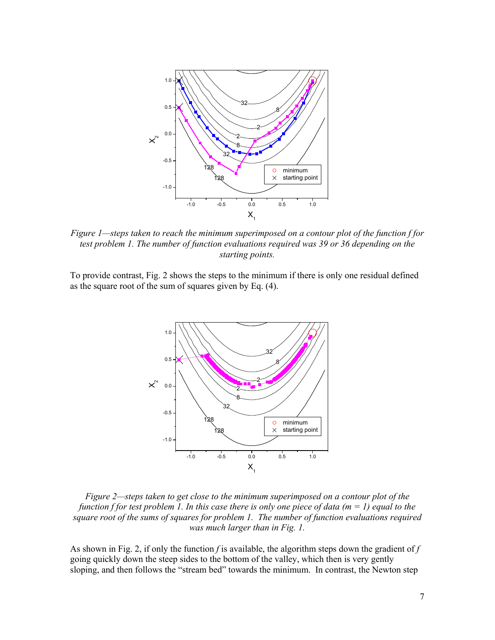

*Figure 1—steps taken to reach the minimum superimposed on a contour plot of the function f for test problem 1. The number of function evaluations required was 39 or 36 depending on the starting points.* 

To provide contrast, Fig. 2 shows the steps to the minimum if there is only one residual defined as the square root of the sum of squares given by Eq. (4).



*Figure 2—steps taken to get close to the minimum superimposed on a contour plot of the function f for test problem 1. In this case there is only one piece of data (m = 1) equal to the square root of the sums of squares for problem 1. The number of function evaluations required was much larger than in Fig. 1.* 

As shown in Fig. 2, if only the function  $f$  is available, the algorithm steps down the gradient of  $f$ going quickly down the steep sides to the bottom of the valley, which then is very gently sloping, and then follows the "stream bed" towards the minimum. In contrast, the Newton step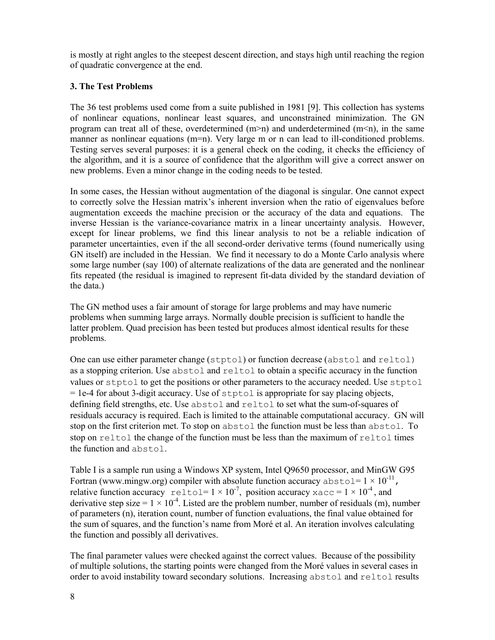is mostly at right angles to the steepest descent direction, and stays high until reaching the region of quadratic convergence at the end.

## **3. The Test Problems**

The 36 test problems used come from a suite published in 1981 [9]. This collection has systems of nonlinear equations, nonlinear least squares, and unconstrained minimization. The GN program can treat all of these, overdetermined  $(m>n)$  and underdetermined  $(m, in the same$ manner as nonlinear equations (m=n). Very large m or n can lead to ill-conditioned problems. Testing serves several purposes: it is a general check on the coding, it checks the efficiency of the algorithm, and it is a source of confidence that the algorithm will give a correct answer on new problems. Even a minor change in the coding needs to be tested.

In some cases, the Hessian without augmentation of the diagonal is singular. One cannot expect to correctly solve the Hessian matrix's inherent inversion when the ratio of eigenvalues before augmentation exceeds the machine precision or the accuracy of the data and equations. The inverse Hessian is the variance-covariance matrix in a linear uncertainty analysis. However, except for linear problems, we find this linear analysis to not be a reliable indication of parameter uncertainties, even if the all second-order derivative terms (found numerically using GN itself) are included in the Hessian. We find it necessary to do a Monte Carlo analysis where some large number (say 100) of alternate realizations of the data are generated and the nonlinear fits repeated (the residual is imagined to represent fit-data divided by the standard deviation of the data.)

The GN method uses a fair amount of storage for large problems and may have numeric problems when summing large arrays. Normally double precision is sufficient to handle the latter problem. Quad precision has been tested but produces almost identical results for these problems.

One can use either parameter change (stptol) or function decrease (abstol and reltol) as a stopping criterion. Use abstol and reltol to obtain a specific accuracy in the function values or stptol to get the positions or other parameters to the accuracy needed. Use stptol = 1e-4 for about 3-digit accuracy. Use of stptol is appropriate for say placing objects, defining field strengths, etc. Use abstol and reltol to set what the sum-of-squares of residuals accuracy is required. Each is limited to the attainable computational accuracy. GN will stop on the first criterion met. To stop on abstol the function must be less than abstol. To stop on reltol the change of the function must be less than the maximum of  $\text{reltol times}$ the function and abstol.

Table I is a sample run using a Windows XP system, Intel Q9650 processor, and MinGW G95 Fortran (www.mingw.org) compiler with absolute function accuracy  $abstol = 1 \times 10^{-11}$ , relative function accuracy reltol=  $1 \times 10^{-7}$ , position accuracy xacc =  $1 \times 10^{-4}$ , and derivative step size =  $1 \times 10^{-4}$ . Listed are the problem number, number of residuals (m), number of parameters (n), iteration count, number of function evaluations, the final value obtained for the sum of squares, and the function's name from Moré et al. An iteration involves calculating the function and possibly all derivatives.

The final parameter values were checked against the correct values. Because of the possibility of multiple solutions, the starting points were changed from the Moré values in several cases in order to avoid instability toward secondary solutions. Increasing abstol and reltol results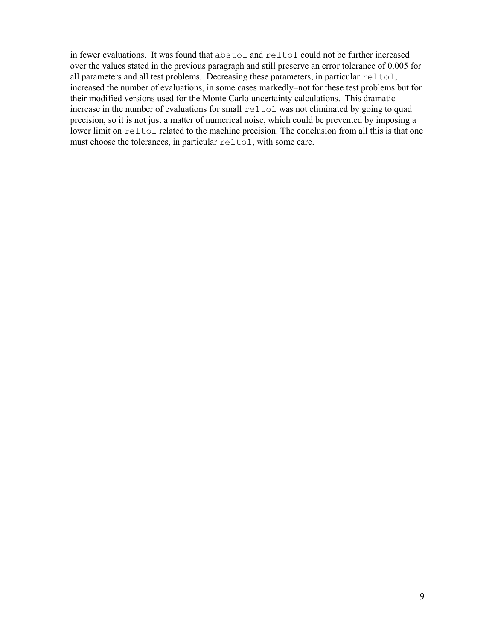in fewer evaluations. It was found that abstol and reltol could not be further increased over the values stated in the previous paragraph and still preserve an error tolerance of 0.005 for all parameters and all test problems. Decreasing these parameters, in particular reltol, increased the number of evaluations, in some cases markedly–not for these test problems but for their modified versions used for the Monte Carlo uncertainty calculations. This dramatic increase in the number of evaluations for small reltol was not eliminated by going to quad precision, so it is not just a matter of numerical noise, which could be prevented by imposing a lower limit on reltol related to the machine precision. The conclusion from all this is that one must choose the tolerances, in particular reltol, with some care.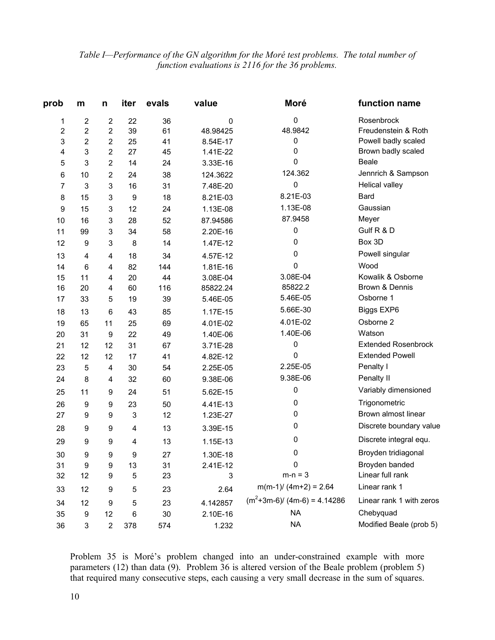# *Table I—Performance of the GN algorithm for the Moré test problems. The total number of function evaluations is 2116 for the 36 problems.*

| prob | m                       | n                       | iter                      | evals | value    | Moré                          | function name              |
|------|-------------------------|-------------------------|---------------------------|-------|----------|-------------------------------|----------------------------|
| 1    | 2                       | $\boldsymbol{2}$        | 22                        | 36    | 0        | 0                             | Rosenbrock                 |
| 2    | 2                       | $\boldsymbol{2}$        | 39                        | 61    | 48.98425 | 48.9842                       | Freudenstein & Roth        |
| 3    | $\overline{\mathbf{c}}$ | $\overline{\mathbf{c}}$ | 25                        | 41    | 8.54E-17 | 0                             | Powell badly scaled        |
| 4    | 3                       | $\overline{c}$          | 27                        | 45    | 1.41E-22 | 0                             | Brown badly scaled         |
| 5    | 3                       | 2                       | 14                        | 24    | 3.33E-16 | 0                             | <b>Beale</b>               |
| 6    | 10                      | $\boldsymbol{2}$        | 24                        | 38    | 124.3622 | 124.362                       | Jennrich & Sampson         |
| 7    | 3                       | 3                       | 16                        | 31    | 7.48E-20 | 0                             | Helical valley             |
| 8    | 15                      | 3                       | 9                         | 18    | 8.21E-03 | 8.21E-03                      | Bard                       |
| 9    | 15                      | 3                       | 12                        | 24    | 1.13E-08 | 1.13E-08                      | Gaussian                   |
| 10   | 16                      | 3                       | 28                        | 52    | 87.94586 | 87.9458                       | Meyer                      |
| 11   | 99                      | 3                       | 34                        | 58    | 2.20E-16 | 0                             | Gulf R & D                 |
| 12   | 9                       | 3                       | 8                         | 14    | 1.47E-12 | 0                             | Box 3D                     |
| 13   | 4                       | 4                       | 18                        | 34    | 4.57E-12 | 0                             | Powell singular            |
| 14   | 6                       | 4                       | 82                        | 144   | 1.81E-16 | 0                             | Wood                       |
| 15   | 11                      | 4                       | 20                        | 44    | 3.08E-04 | 3.08E-04                      | Kowalik & Osborne          |
| 16   | 20                      | 4                       | 60                        | 116   | 85822.24 | 85822.2                       | Brown & Dennis             |
| 17   | 33                      | 5                       | 19                        | 39    | 5.46E-05 | 5.46E-05                      | Osborne 1                  |
| 18   | 13                      | 6                       | 43                        | 85    | 1.17E-15 | 5.66E-30                      | Biggs EXP6                 |
| 19   | 65                      | 11                      | 25                        | 69    | 4.01E-02 | 4.01E-02                      | Osborne 2                  |
| 20   | 31                      | 9                       | 22                        | 49    | 1.40E-06 | 1.40E-06                      | Watson                     |
| 21   | 12                      | 12                      | 31                        | 67    | 3.71E-28 | 0                             | <b>Extended Rosenbrock</b> |
| 22   | 12                      | 12                      | 17                        | 41    | 4.82E-12 | 0                             | <b>Extended Powell</b>     |
| 23   | 5                       | 4                       | 30                        | 54    | 2.25E-05 | 2.25E-05                      | Penalty I                  |
| 24   | 8                       | 4                       | 32                        | 60    | 9.38E-06 | 9.38E-06                      | Penalty II                 |
| 25   | 11                      | 9                       | 24                        | 51    | 5.62E-15 | 0                             | Variably dimensioned       |
| 26   | 9                       | 9                       | 23                        | 50    | 4.41E-13 | 0                             | Trigonometric              |
| 27   | 9                       | $\boldsymbol{9}$        | $\ensuremath{\mathsf{3}}$ | 12    | 1.23E-27 | 0                             | Brown almost linear        |
| 28   | 9                       | 9                       | 4                         | 13    | 3.39E-15 | 0                             | Discrete boundary value    |
| 29   | 9                       | 9                       | 4                         | 13    | 1.15E-13 | 0                             | Discrete integral equ.     |
| 30   | 9                       | 9                       | 9                         | 27    | 1.30E-18 | 0                             | Broyden tridiagonal        |
| 31   | 9                       | $\boldsymbol{9}$        | 13                        | 31    | 2.41E-12 | 0                             | Broyden banded             |
| 32   | 12                      | 9                       | 5                         | 23    | 3        | $m-n = 3$                     | Linear full rank           |
| 33   | 12                      | 9                       | 5                         | 23    | 2.64     | $m(m-1)/(4m+2) = 2.64$        | Linear rank 1              |
| 34   | 12                      | 9                       | 5                         | 23    | 4.142857 | $(m^2+3m-6)/(4m-6) = 4.14286$ | Linear rank 1 with zeros   |
| 35   | 9                       | 12                      | 6                         | 30    | 2.10E-16 | <b>NA</b>                     | Chebyquad                  |
| 36   | 3                       | $\overline{\mathbf{c}}$ | 378                       | 574   | 1.232    | <b>NA</b>                     | Modified Beale (prob 5)    |

Problem 35 is Moré's problem changed into an under-constrained example with more parameters (12) than data (9). Problem 36 is altered version of the Beale problem (problem 5) that required many consecutive steps, each causing a very small decrease in the sum of squares.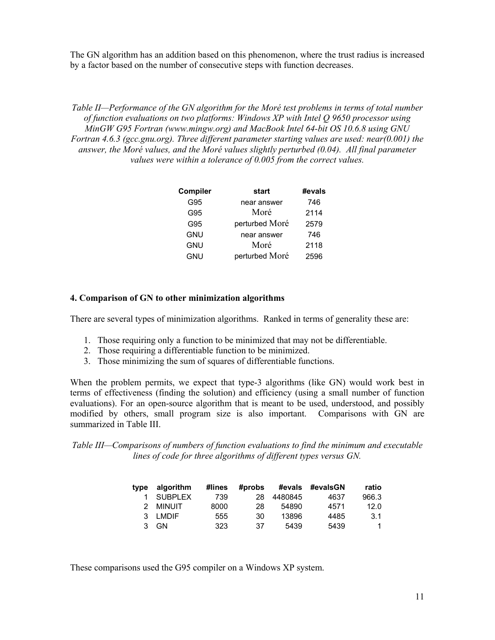The GN algorithm has an addition based on this phenomenon, where the trust radius is increased by a factor based on the number of consecutive steps with function decreases.

*Table II—Performance of the GN algorithm for the Moré test problems in terms of total number of function evaluations on two platforms: Windows XP with Intel Q 9650 processor using MinGW G95 Fortran (www.mingw.org) and MacBook Intel 64-bit OS 10.6.8 using GNU Fortran 4.6.3 (gcc.gnu.org). Three different parameter starting values are used: near(0.001) the answer, the Moré values, and the Moré values slightly perturbed (0.04). All final parameter values were within a tolerance of 0.005 from the correct values.* 

| Compiler   | start          | #evals |
|------------|----------------|--------|
| G95        | near answer    | 746    |
| G95        | Moré           | 2114   |
| G95        | perturbed Moré | 2579   |
| <b>GNU</b> | near answer    | 746    |
| <b>GNU</b> | Moré           | 2118   |
| GNU        | perturbed Moré | 2596   |

#### **4. Comparison of GN to other minimization algorithms**

There are several types of minimization algorithms. Ranked in terms of generality these are:

- 1. Those requiring only a function to be minimized that may not be differentiable.
- 2. Those requiring a differentiable function to be minimized.
- 3. Those minimizing the sum of squares of differentiable functions.

When the problem permits, we expect that type-3 algorithms (like GN) would work best in terms of effectiveness (finding the solution) and efficiency (using a small number of function evaluations). For an open-source algorithm that is meant to be used, understood, and possibly modified by others, small program size is also important. Comparisons with GN are summarized in Table III.

*Table III—Comparisons of numbers of function evaluations to find the minimum and executable lines of code for three algorithms of different types versus GN.* 

| tvpe | algorithm      | #lines | #probs | #evals  | #evalsGN | ratio |
|------|----------------|--------|--------|---------|----------|-------|
|      | <b>SUBPLEX</b> | 739    | 28     | 4480845 | 4637     | 966.3 |
|      | 2 MINUIT       | 8000   | 28     | 54890   | 4571     | 12.0  |
|      | 3 I MDIF       | 555    | 30     | 13896   | 4485     | 3.1   |
| 3    | GN.            | 323    | 37     | 5439    | 5439     |       |

These comparisons used the G95 compiler on a Windows XP system.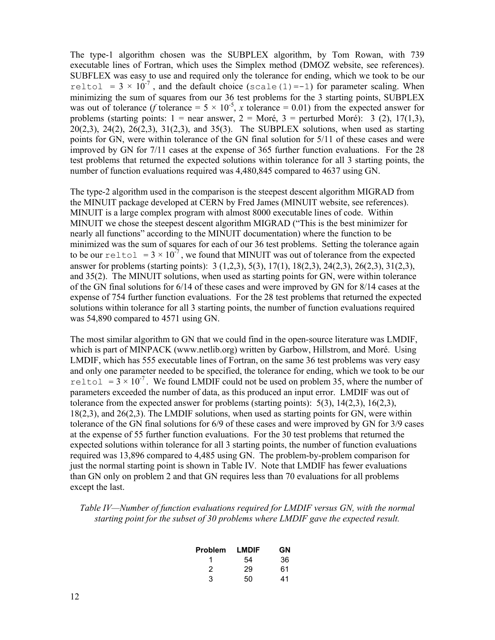The type-1 algorithm chosen was the SUBPLEX algorithm, by Tom Rowan, with 739 executable lines of Fortran, which uses the Simplex method (DMOZ website, see references). SUBFLEX was easy to use and required only the tolerance for ending, which we took to be our reltol =  $3 \times 10^{-7}$ , and the default choice (scale(1)=-1) for parameter scaling. When minimizing the sum of squares from our 36 test problems for the 3 starting points, SUBPLEX was out of tolerance (*f* tolerance =  $5 \times 10^{-5}$ , *x* tolerance = 0.01) from the expected answer for problems (starting points:  $1 =$  near answer,  $2 =$  Moré,  $3 =$  perturbed Moré): 3 (2), 17(1,3), 20(2,3), 24(2), 26(2,3), 31(2,3), and 35(3). The SUBPLEX solutions, when used as starting points for GN, were within tolerance of the GN final solution for 5/11 of these cases and were improved by GN for 7/11 cases at the expense of 365 further function evaluations. For the 28 test problems that returned the expected solutions within tolerance for all 3 starting points, the number of function evaluations required was 4,480,845 compared to 4637 using GN.

The type-2 algorithm used in the comparison is the steepest descent algorithm MIGRAD from the MINUIT package developed at CERN by Fred James (MINUIT website, see references). MINUIT is a large complex program with almost 8000 executable lines of code. Within MINUIT we chose the steepest descent algorithm MIGRAD ("This is the best minimizer for nearly all functions" according to the MINUIT documentation) where the function to be minimized was the sum of squares for each of our 36 test problems. Setting the tolerance again to be our reltol =  $3 \times 10^{-7}$ , we found that MINUIT was out of tolerance from the expected answer for problems (starting points): 3 (1,2,3), 5(3), 17(1), 18(2,3), 24(2,3), 26(2,3), 31(2,3), and 35(2). The MINUIT solutions, when used as starting points for GN, were within tolerance of the GN final solutions for 6/14 of these cases and were improved by GN for 8/14 cases at the expense of 754 further function evaluations. For the 28 test problems that returned the expected solutions within tolerance for all 3 starting points, the number of function evaluations required was 54,890 compared to 4571 using GN.

The most similar algorithm to GN that we could find in the open-source literature was LMDIF, which is part of MINPACK (www.netlib.org) written by Garbow, Hillstrom, and Moré. Using LMDIF, which has 555 executable lines of Fortran, on the same 36 test problems was very easy and only one parameter needed to be specified, the tolerance for ending, which we took to be our reltol =  $3 \times 10^{-7}$ . We found LMDIF could not be used on problem 35, where the number of parameters exceeded the number of data, as this produced an input error. LMDIF was out of tolerance from the expected answer for problems (starting points):  $5(3)$ ,  $14(2,3)$ ,  $16(2,3)$ , 18(2,3), and 26(2,3). The LMDIF solutions, when used as starting points for GN, were within tolerance of the GN final solutions for 6/9 of these cases and were improved by GN for 3/9 cases at the expense of 55 further function evaluations. For the 30 test problems that returned the expected solutions within tolerance for all 3 starting points, the number of function evaluations required was 13,896 compared to 4,485 using GN. The problem-by-problem comparison for just the normal starting point is shown in Table IV. Note that LMDIF has fewer evaluations than GN only on problem 2 and that GN requires less than 70 evaluations for all problems except the last.

*Table IV—Number of function evaluations required for LMDIF versus GN, with the normal starting point for the subset of 30 problems where LMDIF gave the expected result.* 

| Problem | LMDIF | GN |
|---------|-------|----|
|         | 54    | 36 |
| 2       | 29    | 61 |
| 3       | 50    | 41 |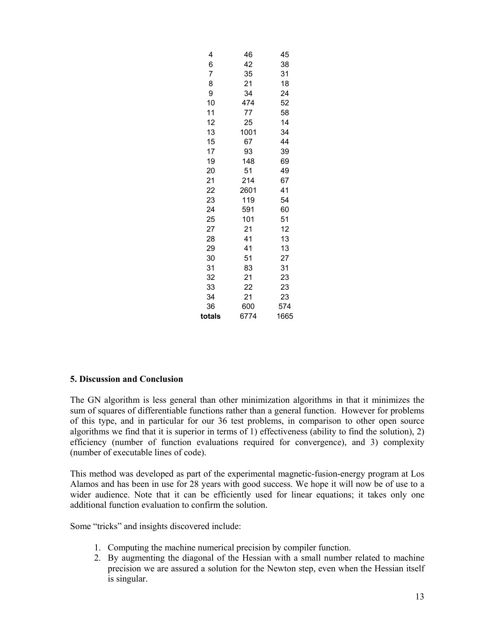| 4      | 46   | 45   |
|--------|------|------|
| 6      | 42   | 38   |
| 7      | 35   | 31   |
| 8      | 21   | 18   |
| 9      | 34   | 24   |
| 10     | 474  | 52   |
| 11     | 77   | 58   |
| 12     | 25   | 14   |
| 13     | 1001 | 34   |
| 15     | 67   | 44   |
| 17     | 93   | 39   |
| 19     | 148  | 69   |
| 20     | 51   | 49   |
| 21     | 214  | 67   |
| 22     | 2601 | 41   |
| 23     | 119  | 54   |
| 24     | 591  | 60   |
| 25     | 101  | 51   |
| 27     | 21   | 12   |
| 28     | 41   | 13   |
| 29     | 41   | 13   |
| 30     | 51   | 27   |
| 31     | 83   | 31   |
| 32     | 21   | 23   |
| 33     | 22   | 23   |
| 34     | 21   | 23   |
| 36     | 600  | 574  |
| totals | 6774 | 1665 |

## **5. Discussion and Conclusion**

The GN algorithm is less general than other minimization algorithms in that it minimizes the sum of squares of differentiable functions rather than a general function. However for problems of this type, and in particular for our 36 test problems, in comparison to other open source algorithms we find that it is superior in terms of 1) effectiveness (ability to find the solution), 2) efficiency (number of function evaluations required for convergence), and 3) complexity (number of executable lines of code).

This method was developed as part of the experimental magnetic-fusion-energy program at Los Alamos and has been in use for 28 years with good success. We hope it will now be of use to a wider audience. Note that it can be efficiently used for linear equations; it takes only one additional function evaluation to confirm the solution.

Some "tricks" and insights discovered include:

- 1. Computing the machine numerical precision by compiler function.
- 2. By augmenting the diagonal of the Hessian with a small number related to machine precision we are assured a solution for the Newton step, even when the Hessian itself is singular.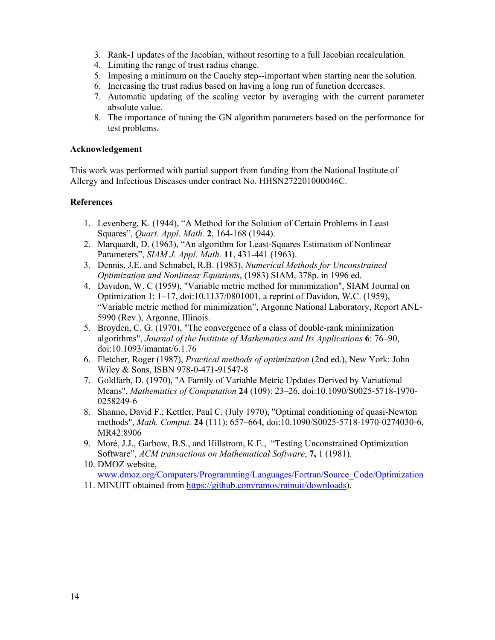- 3. Rank-1 updates of the Jacobian, without resorting to a full Jacobian recalculation.
- 4. Limiting the range of trust radius change.
- 5. Imposing a minimum on the Cauchy step--important when starting near the solution.
- 6. Increasing the trust radius based on having a long run of function decreases.
- 7. Automatic updating of the scaling vector by averaging with the current parameter absolute value.
- 8. The importance of tuning the GN algorithm parameters based on the performance for test problems.

### **Acknowledgement**

This work was performed with partial support from funding from the National Institute of Allergy and Infectious Diseases under contract No. HHSN272201000046C.

### **References**

- 1. Levenberg, K. (1944), "A Method for the Solution of Certain Problems in Least Squares", *Quart. Appl. Math.* **2**, 164-168 (1944).
- 2. Marquardt, D. (1963), "An algorithm for Least-Squares Estimation of Nonlinear Parameters", *SIAM J. Appl. Math.* **11**, 431-441 (1963).
- 3. Dennis, J.E. and Schnabel, R.B. (1983), *Numerical Methods for Unconstrained Optimization and Nonlinear Equations*, (1983) SIAM, 378p. in 1996 ed.
- 4. Davidon, W. C (1959), "Variable metric method for minimization", SIAM Journal on Optimization 1: 1–17, doi:10.1137/0801001, a reprint of Davidon, W.C. (1959), "Variable metric method for minimization", Argonne National Laboratory, Report ANL-5990 (Rev.), Argonne, Illinois.
- 5. Broyden, C. G. (1970), "The convergence of a class of double-rank minimization algorithms", *Journal of the Institute of Mathematics and Its Applications* **6**: 76–90, doi:10.1093/imamat/6.1.76
- 6. Fletcher, Roger (1987), *Practical methods of optimization* (2nd ed.), New York: John Wiley & Sons, ISBN 978-0-471-91547-8
- 7. Goldfarb, D. (1970), "A Family of Variable Metric Updates Derived by Variational Means", *Mathematics of Computation* **24** (109): 23–26, doi:10.1090/S0025-5718-1970- 0258249-6
- 8. Shanno, David F.; Kettler, Paul C. (July 1970), "Optimal conditioning of quasi-Newton methods", *Math. Comput.* **24** (111): 657–664, doi:10.1090/S0025-5718-1970-0274030-6, MR42:8906
- 9. Moré, J.J., Garbow, B.S., and Hillstrom, K.E., "Testing Unconstrained Optimization Software", *ACM transactions on Mathematical Software*, **7,** 1 (1981).
- 10. DMOZ website, www.dmoz.org/Computers/Programming/Languages/Fortran/Source\_Code/Optimization
- 11. MINUIT obtained from https://github.com/ramos/minuit/downloads).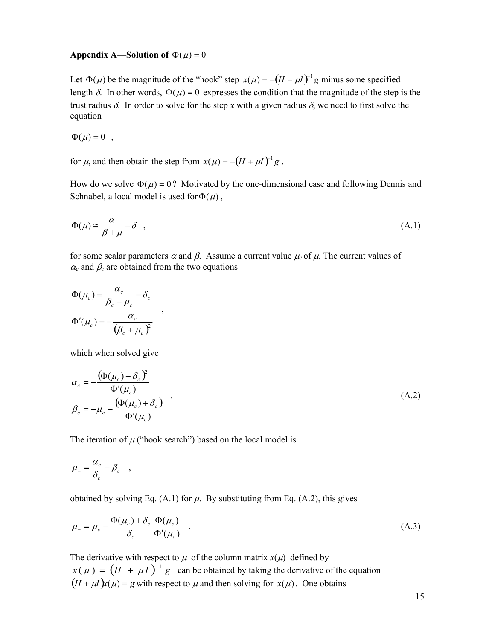#### **Appendix A—Solution of**  $\Phi(\mu) = 0$

Let  $\Phi(\mu)$  be the magnitude of the "hook" step  $x(\mu) = -(H + \mu I)^{-1}g$  minus some specified length  $\delta$ . In other words,  $\Phi(\mu) = 0$  expresses the condition that the magnitude of the step is the trust radius  $\delta$ . In order to solve for the step x with a given radius  $\delta$ , we need to first solve the equation

$$
\Phi(\mu) = 0 \quad ,
$$

for  $\mu$ , and then obtain the step from  $x(\mu) = -(H + \mu I)^{-1} g$ .

How do we solve  $\Phi(\mu) = 0$ ? Motivated by the one-dimensional case and following Dennis and Schnabel, a local model is used for  $\Phi(\mu)$ ,

$$
\Phi(\mu) \approx \frac{\alpha}{\beta + \mu} - \delta \quad , \tag{A.1}
$$

for some scalar parameters  $\alpha$  and  $\beta$ . Assume a current value  $\mu_c$  of  $\mu$ . The current values of  $\alpha_c$  and  $\beta_c$  are obtained from the two equations

$$
\Phi(\mu_c) = \frac{\alpha_c}{\beta_c + \mu_c} - \delta_c
$$
  

$$
\Phi'(\mu_c) = -\frac{\alpha_c}{(\beta_c + \mu_c)^2}
$$

which when solved give

$$
\alpha_c = -\frac{\left(\Phi(\mu_c) + \delta_c\right)^2}{\Phi'(\mu_c)}
$$
\n
$$
\beta_c = -\mu_c - \frac{\left(\Phi(\mu_c) + \delta_c\right)}{\Phi'(\mu_c)}
$$
\n(A.2)

The iteration of  $\mu$  ("hook search") based on the local model is

$$
\mu_+ = \frac{\alpha_c}{\delta_c} - \beta_c \quad ,
$$

obtained by solving Eq. (A.1) for  $\mu$ . By substituting from Eq. (A.2), this gives

$$
\mu_{+} = \mu_{c} - \frac{\Phi(\mu_{c}) + \delta_{c}}{\delta_{c}} \frac{\Phi(\mu_{c})}{\Phi'(\mu_{c})} \quad . \tag{A.3}
$$

The derivative with respect to  $\mu$  of the column matrix  $x(\mu)$  defined by  $x(\mu) = (H + \mu I)^{-1} g$  can be obtained by taking the derivative of the equation  $(H + \mu I)x(\mu) = g$  with respect to  $\mu$  and then solving for  $x(\mu)$ . One obtains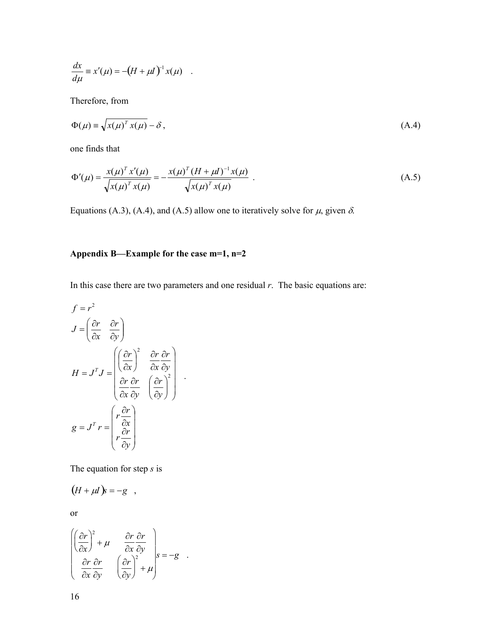$$
\frac{dx}{d\mu} \equiv x'(\mu) = -(H + \mu I)^{-1} x(\mu) .
$$

Therefore, from

$$
\Phi(\mu) \equiv \sqrt{x(\mu)^T x(\mu)} - \delta \,, \tag{A.4}
$$

one finds that

$$
\Phi'(\mu) = \frac{x(\mu)^T x'(\mu)}{\sqrt{x(\mu)^T x(\mu)}} = -\frac{x(\mu)^T (H + \mu I)^{-1} x(\mu)}{\sqrt{x(\mu)^T x(\mu)}}.
$$
\n(A.5)

Equations (A.3), (A.4), and (A.5) allow one to iteratively solve for  $\mu$ , given  $\delta$ .

# **Appendix B—Example for the case m=1, n=2**

In this case there are two parameters and one residual *r*. The basic equations are:

$$
f = r^{2}
$$
  
\n
$$
J = \left(\frac{\partial r}{\partial x} - \frac{\partial r}{\partial y}\right)
$$
  
\n
$$
H = J^{T}J = \begin{pmatrix} \left(\frac{\partial r}{\partial x}\right)^{2} & \frac{\partial r}{\partial x} \frac{\partial r}{\partial y} \\ \frac{\partial r}{\partial x} \frac{\partial r}{\partial y} & \left(\frac{\partial r}{\partial y}\right)^{2} \end{pmatrix}.
$$
  
\n
$$
g = J^{T}r = \begin{pmatrix} r \frac{\partial r}{\partial x} \\ r \frac{\partial r}{\partial y} \end{pmatrix}
$$

The equation for step *s* is

$$
(H + \mu I)\mathbf{s} = -\mathbf{g} ,
$$

or

$$
\begin{pmatrix}\n\left(\frac{\partial r}{\partial x}\right)^2 + \mu & \frac{\partial r}{\partial x} \frac{\partial r}{\partial y} \\
\frac{\partial r}{\partial x} \frac{\partial r}{\partial y} & \left(\frac{\partial r}{\partial y}\right)^2 + \mu\n\end{pmatrix} s = -g
$$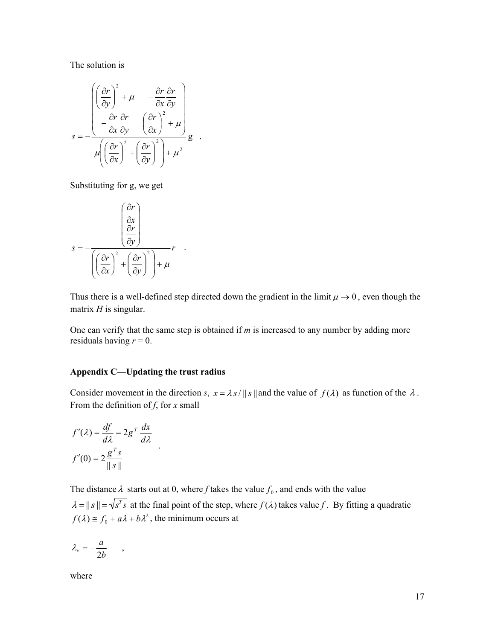The solution is

$$
s = -\frac{\left(\left(\frac{\partial r}{\partial y}\right)^2 + \mu - \frac{\partial r}{\partial x}\frac{\partial r}{\partial y}\right)}{\mu \left(\left(\frac{\partial r}{\partial x}\right)^2 + \left(\frac{\partial r}{\partial y}\right)^2\right) + \mu}g.
$$

Substituting for g, we get

$$
s = -\frac{\left(\frac{\partial r}{\partial x}\right)}{\left(\frac{\partial r}{\partial x}\right)^2 + \left(\frac{\partial r}{\partial y}\right)^2 + \mu} r
$$

Thus there is a well-defined step directed down the gradient in the limit  $\mu \rightarrow 0$ , even though the matrix *H* is singular.

One can verify that the same step is obtained if *m* is increased to any number by adding more residuals having  $r = 0$ .

#### **Appendix C—Updating the trust radius**

Consider movement in the direction *s*,  $x = \lambda s / ||s||$  and the value of  $f(\lambda)$  as function of the  $\lambda$ . From the definition of *f*, for *x* small

$$
f'(\lambda) = \frac{df}{d\lambda} = 2g^T \frac{dx}{d\lambda}
$$

$$
f'(0) = 2\frac{g^T s}{\|s\|}.
$$

The distance  $\lambda$  starts out at 0, where *f* takes the value  $f_0$ , and ends with the value  $\lambda = ||s|| = \sqrt{s^T s}$  at the final point of the step, where  $f(\lambda)$  takes value f. By fitting a quadratic  $f(\lambda) \cong f_0 + a\lambda + b\lambda^2$ , the minimum occurs at

$$
\lambda_* = -\frac{a}{2b} \qquad ,
$$

where